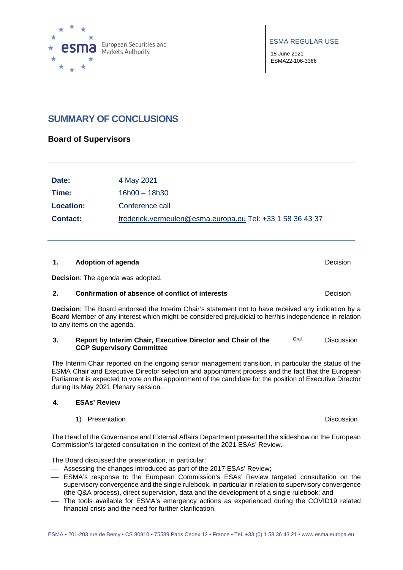

18 June 2021 ESMA22-106-3366

# **SUMMARY OF CONCLUSIONS**

### **Board of Supervisors**

| Date:            | 4 May 2021                                                |
|------------------|-----------------------------------------------------------|
| Time:            | $16h00 - 18h30$                                           |
| <b>Location:</b> | Conference call                                           |
| <b>Contact:</b>  | frederiek.vermeulen@esma.europa.eu Tel: +33 1 58 36 43 37 |

#### **1. Adoption of agenda Decision Decision**

**Decision**: The agenda was adopted.

#### **2. Confirmation of absence of conflict of interests Decision**

**Decision**: The Board endorsed the Interim Chair's statement not to have received any indication by a Board Member of any interest which might be considered prejudicial to her/his independence in relation to any items on the agenda.

#### **3. Report by Interim Chair, Executive Director and Chair of the CCP Supervisory Committee** Oral Discussion

The Interim Chair reported on the ongoing senior management transition, in particular the status of the ESMA Chair and Executive Director selection and appointment process and the fact that the European Parliament is expected to vote on the appointment of the candidate for the position of Executive Director during its May 2021 Plenary session.

#### **4. ESAs' Review**

1) Presentation **Discussion** Discussion

The Head of the Governance and External Affairs Department presented the slideshow on the European Commission's targeted consultation in the context of the 2021 ESAs' Review.

The Board discussed the presentation, in particular:

- Assessing the changes introduced as part of the 2017 ESAs' Review;
- ESMA's response to the European Commission's ESAs' Review targeted consultation on the supervisory convergence and the single rulebook, in particular in relation to supervisory convergence (the Q&A process), direct supervision, data and the development of a single rulebook; and
- The tools available for ESMA's emergency actions as experienced during the COVID19 related financial crisis and the need for further clarification.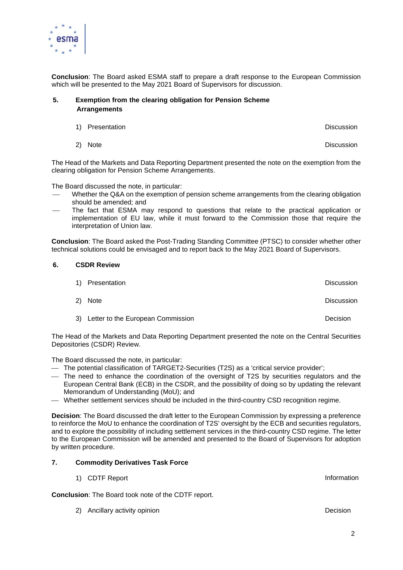

**Conclusion**: The Board asked ESMA staff to prepare a draft response to the European Commission which will be presented to the May 2021 Board of Supervisors for discussion.

#### **5. Exemption from the clearing obligation for Pension Scheme Arrangements**

- 1) Presentation **Discussion** Discussion
- 2) Note Discussion

The Head of the Markets and Data Reporting Department presented the note on the exemption from the clearing obligation for Pension Scheme Arrangements.

The Board discussed the note, in particular:

- Whether the Q&A on the exemption of pension scheme arrangements from the clearing obligation should be amended; and
- The fact that ESMA may respond to questions that relate to the practical application or implementation of EU law, while it must forward to the Commission those that require the interpretation of Union law.

**Conclusion**: The Board asked the Post-Trading Standing Committee (PTSC) to consider whether other technical solutions could be envisaged and to report back to the May 2021 Board of Supervisors.

#### **6. CSDR Review**

| 1) Presentation                      | Discussion        |
|--------------------------------------|-------------------|
| 2) Note                              | <b>Discussion</b> |
| 3) Letter to the European Commission | Decision          |

The Head of the Markets and Data Reporting Department presented the note on the Central Securities Depositories (CSDR) Review.

The Board discussed the note, in particular:

- The potential classification of TARGET2-Securities (T2S) as a 'critical service provider';
- The need to enhance the coordination of the oversight of T2S by securities regulators and the European Central Bank (ECB) in the CSDR, and the possibility of doing so by updating the relevant Memorandum of Understanding (MoU); and
- Whether settlement services should be included in the third-country CSD recognition regime.

**Decision**: The Board discussed the draft letter to the European Commission by expressing a preference to reinforce the MoU to enhance the coordination of T2S' oversight by the ECB and securities regulators, and to explore the possibility of including settlement services in the third-country CSD regime. The letter to the European Commission will be amended and presented to the Board of Supervisors for adoption by written procedure.

#### **7. Commodity Derivatives Task Force**

1) CDTF Report and the contraction of the contraction of the contraction of the contraction of the contraction

**Conclusion**: The Board took note of the CDTF report.

2) Ancillary activity opinion **Decision** Decision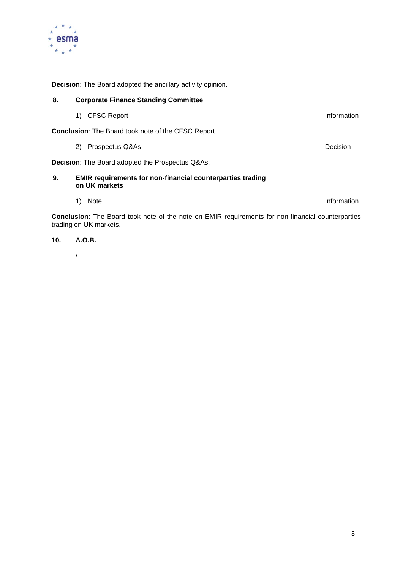

**Decision**: The Board adopted the ancillary activity opinion.

| 8.                                                                                                                                 | <b>Corporate Finance Standing Committee</b>                                        |             |
|------------------------------------------------------------------------------------------------------------------------------------|------------------------------------------------------------------------------------|-------------|
|                                                                                                                                    | <b>CFSC Report</b><br>1)                                                           | Information |
| <b>Conclusion:</b> The Board took note of the CFSC Report.                                                                         |                                                                                    |             |
|                                                                                                                                    | 2)<br>Prospectus Q&As                                                              | Decision    |
| <b>Decision:</b> The Board adopted the Prospectus Q&As.                                                                            |                                                                                    |             |
| 9.                                                                                                                                 | <b>EMIR</b> requirements for non-financial counterparties trading<br>on UK markets |             |
|                                                                                                                                    | <b>Note</b><br>1)                                                                  | Information |
| <b>Conclusion:</b> The Board took note of the note on EMIR requirements for non-financial counterparties<br>trading on UK markets. |                                                                                    |             |

### **10. A.O.B.**

/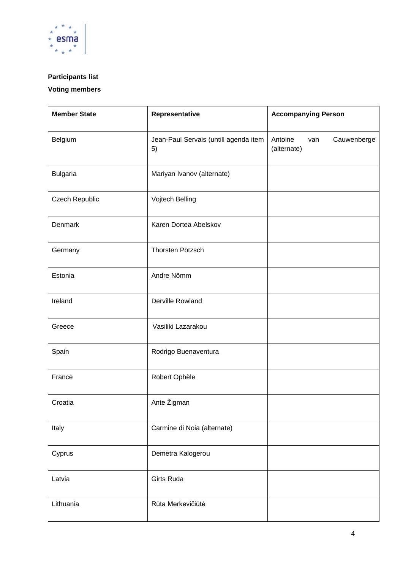

### **Participants list**

### **Voting members**

| <b>Member State</b> | Representative                              | <b>Accompanying Person</b>                   |
|---------------------|---------------------------------------------|----------------------------------------------|
| Belgium             | Jean-Paul Servais (untill agenda item<br>5) | Antoine<br>Cauwenberge<br>van<br>(alternate) |
| <b>Bulgaria</b>     | Mariyan Ivanov (alternate)                  |                                              |
| Czech Republic      | Vojtech Belling                             |                                              |
| Denmark             | Karen Dortea Abelskov                       |                                              |
| Germany             | Thorsten Pötzsch                            |                                              |
| Estonia             | Andre Nõmm                                  |                                              |
| Ireland             | Derville Rowland                            |                                              |
| Greece              | Vasiliki Lazarakou                          |                                              |
| Spain               | Rodrigo Buenaventura                        |                                              |
| France              | Robert Ophèle                               |                                              |
| Croatia             | Ante Žigman                                 |                                              |
| Italy               | Carmine di Noia (alternate)                 |                                              |
| Cyprus              | Demetra Kalogerou                           |                                              |
| Latvia              | <b>Girts Ruda</b>                           |                                              |
| Lithuania           | Rūta Merkevičiūtė                           |                                              |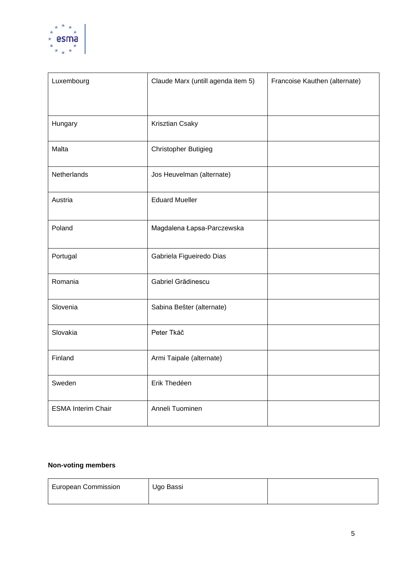

| Luxembourg                | Claude Marx (untill agenda item 5) | Francoise Kauthen (alternate) |
|---------------------------|------------------------------------|-------------------------------|
| Hungary                   | Krisztian Csaky                    |                               |
| Malta                     | <b>Christopher Butigieg</b>        |                               |
| Netherlands               | Jos Heuvelman (alternate)          |                               |
| Austria                   | <b>Eduard Mueller</b>              |                               |
| Poland                    | Magdalena Łapsa-Parczewska         |                               |
| Portugal                  | Gabriela Figueiredo Dias           |                               |
| Romania                   | Gabriel Grădinescu                 |                               |
| Slovenia                  | Sabina Bešter (alternate)          |                               |
| Slovakia                  | Peter Tkáč                         |                               |
| Finland                   | Armi Taipale (alternate)           |                               |
| Sweden                    | Erik Thedéen                       |                               |
| <b>ESMA Interim Chair</b> | Anneli Tuominen                    |                               |

## **Non-voting members**

| <b>European Commission</b> | Ugo Bassi |  |
|----------------------------|-----------|--|
|                            |           |  |